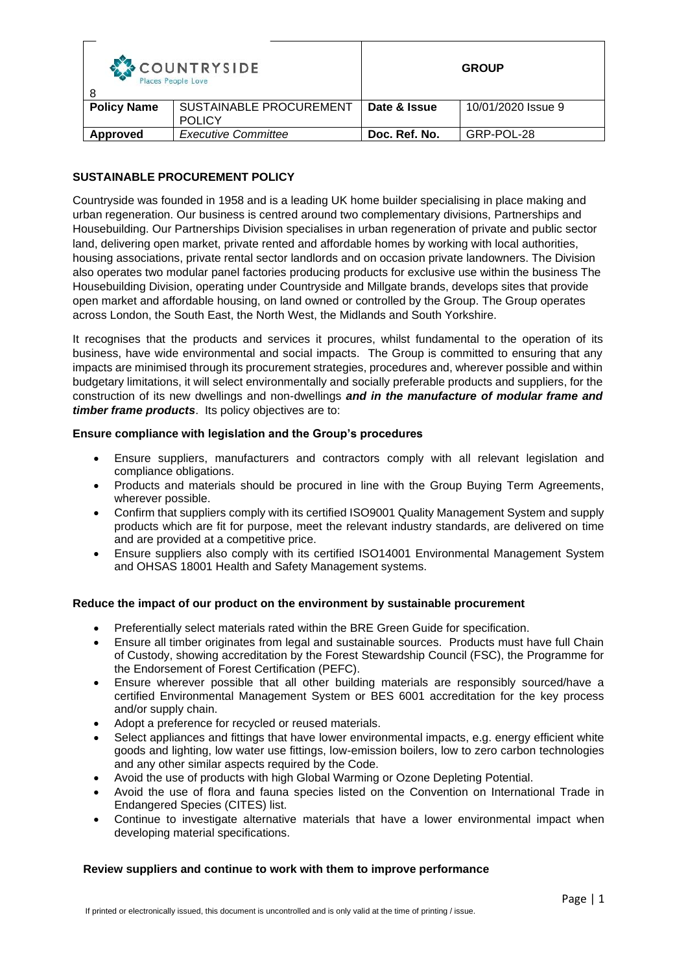| COUNTRYSIDE<br>Places People Love |                                                 | <b>GROUP</b>  |                    |
|-----------------------------------|-------------------------------------------------|---------------|--------------------|
| <b>Policy Name</b>                | <b>SUSTAINABLE PROCUREMENT</b><br><b>POLICY</b> | Date & Issue  | 10/01/2020 Issue 9 |
| Approved                          | <b>Executive Committee</b>                      | Doc. Ref. No. | GRP-POL-28         |

# **SUSTAINABLE PROCUREMENT POLICY**

Countryside was founded in 1958 and is a leading UK home builder specialising in place making and urban regeneration. Our business is centred around two complementary divisions, Partnerships and Housebuilding. Our Partnerships Division specialises in urban regeneration of private and public sector land, delivering open market, private rented and affordable homes by working with local authorities, housing associations, private rental sector landlords and on occasion private landowners. The Division also operates two modular panel factories producing products for exclusive use within the business The Housebuilding Division, operating under Countryside and Millgate brands, develops sites that provide open market and affordable housing, on land owned or controlled by the Group. The Group operates across London, the South East, the North West, the Midlands and South Yorkshire.

It recognises that the products and services it procures, whilst fundamental to the operation of its business, have wide environmental and social impacts. The Group is committed to ensuring that any impacts are minimised through its procurement strategies, procedures and, wherever possible and within budgetary limitations, it will select environmentally and socially preferable products and suppliers, for the construction of its new dwellings and non-dwellings *and in the manufacture of modular frame and timber frame products*. Its policy objectives are to:

## **Ensure compliance with legislation and the Group's procedures**

- Ensure suppliers, manufacturers and contractors comply with all relevant legislation and compliance obligations.
- Products and materials should be procured in line with the Group Buying Term Agreements, wherever possible.
- Confirm that suppliers comply with its certified ISO9001 Quality Management System and supply products which are fit for purpose, meet the relevant industry standards, are delivered on time and are provided at a competitive price.
- Ensure suppliers also comply with its certified ISO14001 Environmental Management System and OHSAS 18001 Health and Safety Management systems.

## **Reduce the impact of our product on the environment by sustainable procurement**

- Preferentially select materials rated within the BRE Green Guide for specification.
- Ensure all timber originates from legal and sustainable sources. Products must have full Chain of Custody, showing accreditation by the Forest Stewardship Council (FSC), the Programme for the Endorsement of Forest Certification (PEFC).
- Ensure wherever possible that all other building materials are responsibly sourced/have a certified Environmental Management System or BES 6001 accreditation for the key process and/or supply chain.
- Adopt a preference for recycled or reused materials.
- Select appliances and fittings that have lower environmental impacts, e.g. energy efficient white goods and lighting, low water use fittings, low-emission boilers, low to zero carbon technologies and any other similar aspects required by the Code.
- Avoid the use of products with high Global Warming or Ozone Depleting Potential.
- Avoid the use of flora and fauna species listed on the Convention on International Trade in Endangered Species (CITES) list.
- Continue to investigate alternative materials that have a lower environmental impact when developing material specifications.

## **Review suppliers and continue to work with them to improve performance**